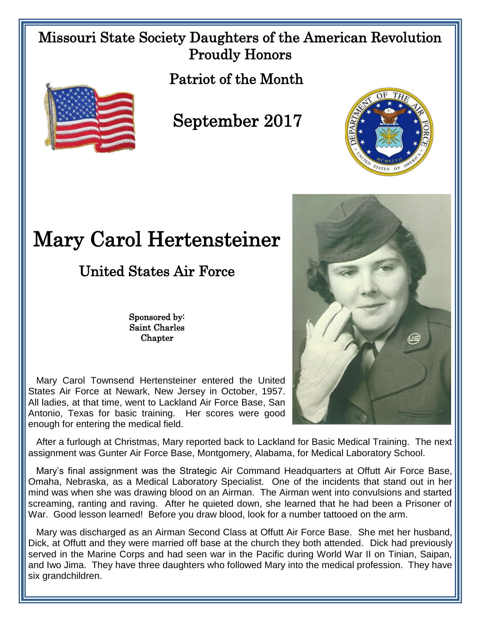## Missouri State Society Daughters of the American Revolution Proudly Honors

Patriot of the Month



## September 2017



## Mary Carol Hertensteiner

United States Air Force

Sponsored by: Saint Charles **Chapter** 

 Mary Carol Townsend Hertensteiner entered the United States Air Force at Newark, New Jersey in October, 1957. All ladies, at that time, went to Lackland Air Force Base, San Antonio, Texas for basic training. Her scores were good enough for entering the medical field.

 After a furlough at Christmas, Mary reported back to Lackland for Basic Medical Training. The next assignment was Gunter Air Force Base, Montgomery, Alabama, for Medical Laboratory School.

 Mary's final assignment was the Strategic Air Command Headquarters at Offutt Air Force Base, Omaha, Nebraska, as a Medical Laboratory Specialist. One of the incidents that stand out in her mind was when she was drawing blood on an Airman. The Airman went into convulsions and started screaming, ranting and raving. After he quieted down, she learned that he had been a Prisoner of War. Good lesson learned! Before you draw blood, look for a number tattooed on the arm.

 Mary was discharged as an Airman Second Class at Offutt Air Force Base. She met her husband, Dick, at Offutt and they were married off base at the church they both attended. Dick had previously served in the Marine Corps and had seen war in the Pacific during World War II on Tinian, Saipan, and Iwo Jima. They have three daughters who followed Mary into the medical profession. They have six grandchildren.